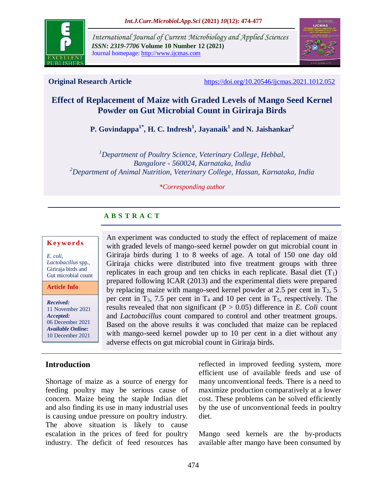

*International Journal of Current Microbiology and Applied Sciences ISSN: 2319-7706* **Volume 10 Number 12 (2021)**  Journal homepage: http://www.ijcmas.com



**Original Research Article** <https://doi.org/10.20546/ijcmas.2021.1012.052>

# **Effect of Replacement of Maize with Graded Levels of Mango Seed Kernel Powder on Gut Microbial Count in Giriraja Birds**

**P. Govindappa1\*, H. C. Indresh<sup>1</sup> , Jayanaik<sup>1</sup> and N. Jaishankar<sup>2</sup>**

*<sup>1</sup>Department of Poultry Science, Veterinary College, Hebbal, Bangalore - 560024, Karnataka, India <sup>2</sup>Department of Animal Nutrition, Veterinary College, Hassan, Karnataka, India*

#### *\*Corresponding author*

## **A B S T R A C T**

#### **K ey w o rd s**

*E. coli, Lactobacillus* spp., Giriraja birds and Gut microbial count

**Article Info**

*Received:*  11 November 2021 *Accepted:*  06 December 2021 *Available Online:* 10 December 2021

## **Introduction**

Shortage of maize as a source of energy for feeding poultry may be serious cause of concern. Maize being the staple Indian diet and also finding its use in many industrial uses is causing undue pressure on poultry industry. The above situation is likely to cause escalation in the prices of feed for poultry industry. The deficit of feed resources has

An experiment was conducted to study the effect of replacement of maize with graded levels of mango-seed kernel powder on gut microbial count in Giriraja birds during 1 to 8 weeks of age. A total of 150 one day old Giriraja chicks were distributed into five treatment groups with three replicates in each group and ten chicks in each replicate. Basal diet  $(T_1)$ prepared following ICAR (2013) and the experimental diets were prepared by replacing maize with mango-seed kernel powder at 2.5 per cent in  $T_2$ , 5 per cent in  $T_3$ , 7.5 per cent in  $T_4$  and 10 per cent in  $T_5$ , respectively. The results revealed that non significant  $(P > 0.05)$  difference in *E. Coli* count and *Lactobacillus* count compared to control and other treatment groups. Based on the above results it was concluded that maize can be replaced with mango-seed kernel powder up to 10 per cent in a diet without any adverse effects on gut microbial count in Giriraja birds.

> reflected in improved feeding system, more efficient use of available feeds and use of many unconventional feeds. There is a need to maximize production comparatively at a lower cost. These problems can be solved efficiently by the use of unconventional feeds in poultry diet.

> Mango seed kernels are the by-products available after mango have been consumed by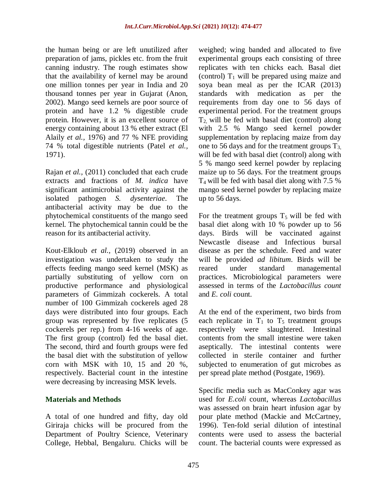the human being or are left unutilized after preparation of jams, pickles etc. from the fruit canning industry. The rough estimates show that the availability of kernel may be around one million tonnes per year in India and 20 thousand tonnes per year in Gujarat (Anon, 2002). Mango seed kernels are poor source of protein and have 1.2 % digestible crude protein. However, it is an excellent source of energy containing about 13 % ether extract (El Alaily *et al.,* 1976) and 77 % NFE providing 74 % total digestible nutrients (Patel *et al.,* 1971).

Rajan *et al.,* (2011) concluded that each crude extracts and fractions of *M. indica* have significant antimicrobial activity against the isolated pathogen *S. dysenteriae*. The antibacterial activity may be due to the phytochemical constituents of the mango seed kernel. The phytochemical tannin could be the reason for its antibacterial activity.

Kout-Elkloub *et al.,* (2019) observed in an investigation was undertaken to study the effects feeding mango seed kernel (MSK) as partially substituting of yellow corn on productive performance and physiological parameters of Gimmizah cockerels. A total number of 100 Gimmizah cockerels aged 28 days were distributed into four groups. Each group was represented by five replicates (5 cockerels per rep.) from 4-16 weeks of age. The first group (control) fed the basal diet. The second, third and fourth groups were fed the basal diet with the substitution of yellow corn with MSK with 10, 15 and 20 %, respectively. Bacterial count in the intestine were decreasing by increasing MSK levels.

## **Materials and Methods**

A total of one hundred and fifty, day old Giriraja chicks will be procured from the Department of Poultry Science, Veterinary College, Hebbal, Bengaluru. Chicks will be weighed; wing banded and allocated to five experimental groups each consisting of three replicates with ten chicks each. Basal diet (control)  $T_1$  will be prepared using maize and soya bean meal as per the ICAR (2013) standards with medication as per the requirements from day one to 56 days of experimental period. For the treatment groups  $T_2$  will be fed with basal diet (control) along with 2.5 % Mango seed kernel powder supplementation by replacing maize from day one to 56 days and for the treatment groups  $T_{3}$ , will be fed with basal diet (control) along with 5 % mango seed kernel powder by replacing maize up to 56 days. For the treatment groups  $T_4$  will be fed with basal diet along with 7.5 % mango seed kernel powder by replacing maize up to 56 days.

For the treatment groups  $T_5$  will be fed with basal diet along with 10 % powder up to 56 days. Birds will be vaccinated against Newcastle disease and Infectious bursal disease as per the schedule. Feed and water will be provided *ad libitum*. Birds will be reared under standard managemental practices. Microbiological parameters were assessed in terms of the *Lactobacillus count* and *E. coli* count.

At the end of the experiment, two birds from each replicate in  $T_1$  to  $T_5$  treatment groups respectively were slaughtered. Intestinal contents from the small intestine were taken aseptically. The intestinal contents were collected in sterile container and further subjected to enumeration of gut microbes as per spread plate method (Postgate, 1969).

Specific media such as MacConkey agar was used for *E.coli* count, whereas *Lactobacillus*  was assessed on brain heart infusion agar by pour plate method (Mackie and McCartney, 1996). Ten-fold serial dilution of intestinal contents were used to assess the bacterial count. The bacterial counts were expressed as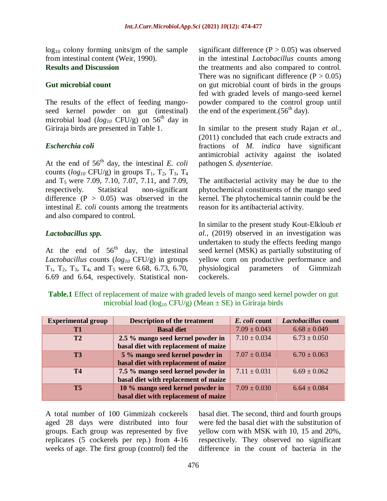$log_{10}$  colony forming units/gm of the sample from intestinal content (Weir, 1990). **Results and Discussion**

#### **Gut microbial count**

The results of the effect of feeding mangoseed kernel powder on gut (intestinal) microbial load ( $log_{10}$  CFU/g) on 56<sup>th</sup> day in Giriraja birds are presented in Table 1.

#### *Escherchia coli*

At the end of  $56<sup>th</sup>$  day, the intestinal *E. coli* counts ( $log_{10}$  CFU/g) in groups  $T_1$ ,  $T_2$ ,  $T_3$ ,  $T_4$ and  $T_5$  were 7.09, 7.10, 7.07, 7.11, and 7.09, respectively. Statistical non-significant difference  $(P > 0.05)$  was observed in the intestinal *E. coli* counts among the treatments and also compared to control.

#### *Lactobacillus spp.*

At the end of  $56<sup>th</sup>$  day, the intestinal *Lactobacillus* counts (*log<sup>10</sup>* CFU/g) in groups  $T_1$ ,  $T_2$ ,  $T_3$ ,  $T_4$ , and  $T_5$  were 6.68, 6.73, 6.70, 6.69 and 6.64, respectively. Statistical nonsignificant difference  $(P > 0.05)$  was observed in the intestinal *Lactobacillus* counts among the treatments and also compared to control. There was no significant difference  $(P > 0.05)$ on gut microbial count of birds in the groups fed with graded levels of mango-seed kernel powder compared to the control group until the end of the experiment. $(56<sup>th</sup>$  day).

In similar to the present study Rajan *et al.,* (2011) concluded that each crude extracts and fractions of *M. indica* have significant antimicrobial activity against the isolated pathogen *S. dysenteriae*.

The antibacterial activity may be due to the phytochemical constituents of the mango seed kernel. The phytochemical tannin could be the reason for its antibacterial activity.

In similar to the present study Kout-Elkloub *et al.,* (2019) observed in an investigation was undertaken to study the effects feeding mango seed kernel (MSK) as partially substituting of yellow corn on productive performance and physiological parameters of Gimmizah cockerels.

**Table.1** Effect of replacement of maize with graded levels of mango seed kernel powder on gut microbial load (log<sub>10</sub> CFU/g) (Mean  $\pm$  SE) in Giriraja birds

| <b>Experimental group</b> | <b>Description of the treatment</b>  | E. coli count    | Lactobacillus count |
|---------------------------|--------------------------------------|------------------|---------------------|
| T <sub>1</sub>            | <b>Basal diet</b>                    | $7.09 \pm 0.043$ | $6.68 \pm 0.049$    |
| T <sub>2</sub>            | 2.5 % mango seed kernel powder in    | $7.10 \pm 0.034$ | $6.73 \pm 0.050$    |
|                           | basal diet with replacement of maize |                  |                     |
| T <sub>3</sub>            | 5 % mango seed kernel powder in      | $7.07 \pm 0.034$ | $6.70 \pm 0.063$    |
|                           | basal diet with replacement of maize |                  |                     |
| <b>T4</b>                 | 7.5 % mango seed kernel powder in    | $7.11 \pm 0.031$ | $6.69 \pm 0.062$    |
|                           | basal diet with replacement of maize |                  |                     |
| T <sub>5</sub>            | 10 % mango seed kernel powder in     | $7.09 \pm 0.030$ | $6.64 \pm 0.084$    |
|                           | basal diet with replacement of maize |                  |                     |

A total number of 100 Gimmizah cockerels aged 28 days were distributed into four groups. Each group was represented by five replicates (5 cockerels per rep.) from 4-16 weeks of age. The first group (control) fed the basal diet. The second, third and fourth groups were fed the basal diet with the substitution of yellow corn with MSK with 10, 15 and 20%, respectively. They observed no significant difference in the count of bacteria in the